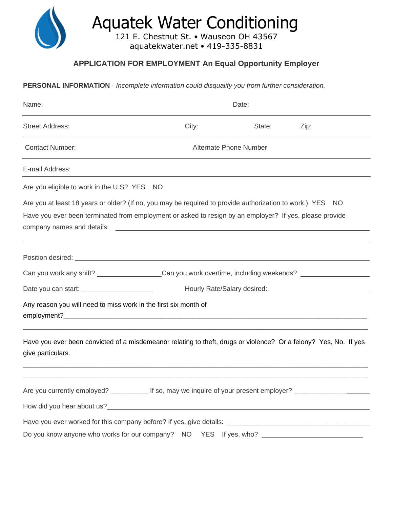

## **APPLICATION FOR EMPLOYMENT An Equal Opportunity Employer**

**PERSONAL INFORMATION** - *Incomplete information could disqualify you from further consideration.*

| Name:                                                                                                                                 | Date:                                                                                               |                         |      |  |
|---------------------------------------------------------------------------------------------------------------------------------------|-----------------------------------------------------------------------------------------------------|-------------------------|------|--|
| <b>Street Address:</b>                                                                                                                | City:                                                                                               | State:                  | Zip: |  |
| <b>Contact Number:</b>                                                                                                                |                                                                                                     | Alternate Phone Number: |      |  |
| E-mail Address:                                                                                                                       |                                                                                                     |                         |      |  |
| Are you eligible to work in the U.S? YES NO                                                                                           |                                                                                                     |                         |      |  |
| Are you at least 18 years or older? (If no, you may be required to provide authorization to work.) YES NO                             |                                                                                                     |                         |      |  |
| Have you ever been terminated from employment or asked to resign by an employer? If yes, please provide                               |                                                                                                     |                         |      |  |
| Position desired: <u>contract and a series of the series of the series of the series of the series of the series of</u>               |                                                                                                     |                         |      |  |
| Can you work any shift? __________________Can you work overtime, including weekends? ______________                                   |                                                                                                     |                         |      |  |
| Date you can start: __________________________                                                                                        |                                                                                                     |                         |      |  |
| Any reason you will need to miss work in the first six month of                                                                       |                                                                                                     |                         |      |  |
| Have you ever been convicted of a misdemeanor relating to theft, drugs or violence? Or a felony? Yes, No. If yes<br>give particulars. |                                                                                                     |                         |      |  |
| Are you currently employed? ________________ If so, may we inquire of your present employer? _________________                        |                                                                                                     |                         |      |  |
|                                                                                                                                       |                                                                                                     |                         |      |  |
|                                                                                                                                       |                                                                                                     |                         |      |  |
|                                                                                                                                       | Do you know anyone who works for our company? NO YES If yes, who? _________________________________ |                         |      |  |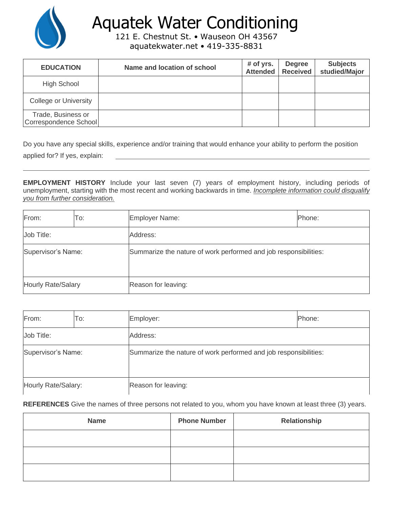

## Aquatek Water Conditioning

121 E. Chestnut St. • Wauseon OH 43567 aquatekwater.net • 419-335-8831

| <b>EDUCATION</b>                            | Name and location of school | $#$ of yrs.<br><b>Attended</b> | <b>Degree</b><br><b>Received</b> | <b>Subjects</b><br>studied/Major |
|---------------------------------------------|-----------------------------|--------------------------------|----------------------------------|----------------------------------|
| <b>High School</b>                          |                             |                                |                                  |                                  |
| College or University                       |                             |                                |                                  |                                  |
| Trade, Business or<br>Correspondence School |                             |                                |                                  |                                  |

Do you have any special skills, experience and/or training that would enhance your ability to perform the position applied for? If yes, explain:

**EMPLOYMENT HISTORY** Include your last seven (7) years of employment history, including periods of unemployment, starting with the most recent and working backwards in time. *Incomplete information could disqualify you from further consideration.*

| From:                     | To: | Employer Name:                                                   | Phone: |
|---------------------------|-----|------------------------------------------------------------------|--------|
| Job Title:                |     | Address:                                                         |        |
| Supervisor's Name:        |     | Summarize the nature of work performed and job responsibilities: |        |
| <b>Hourly Rate/Salary</b> |     | Reason for leaving:                                              |        |

| From:               | To:                                                                                    | Employer:           | Phone: |
|---------------------|----------------------------------------------------------------------------------------|---------------------|--------|
| Job Title:          |                                                                                        | Address:            |        |
|                     | Supervisor's Name:<br>Summarize the nature of work performed and job responsibilities: |                     |        |
| Hourly Rate/Salary: |                                                                                        | Reason for leaving: |        |

**REFERENCES** Give the names of three persons not related to you, whom you have known at least three (3) years.

| <b>Name</b> | <b>Phone Number</b> | Relationship |
|-------------|---------------------|--------------|
|             |                     |              |
|             |                     |              |
|             |                     |              |